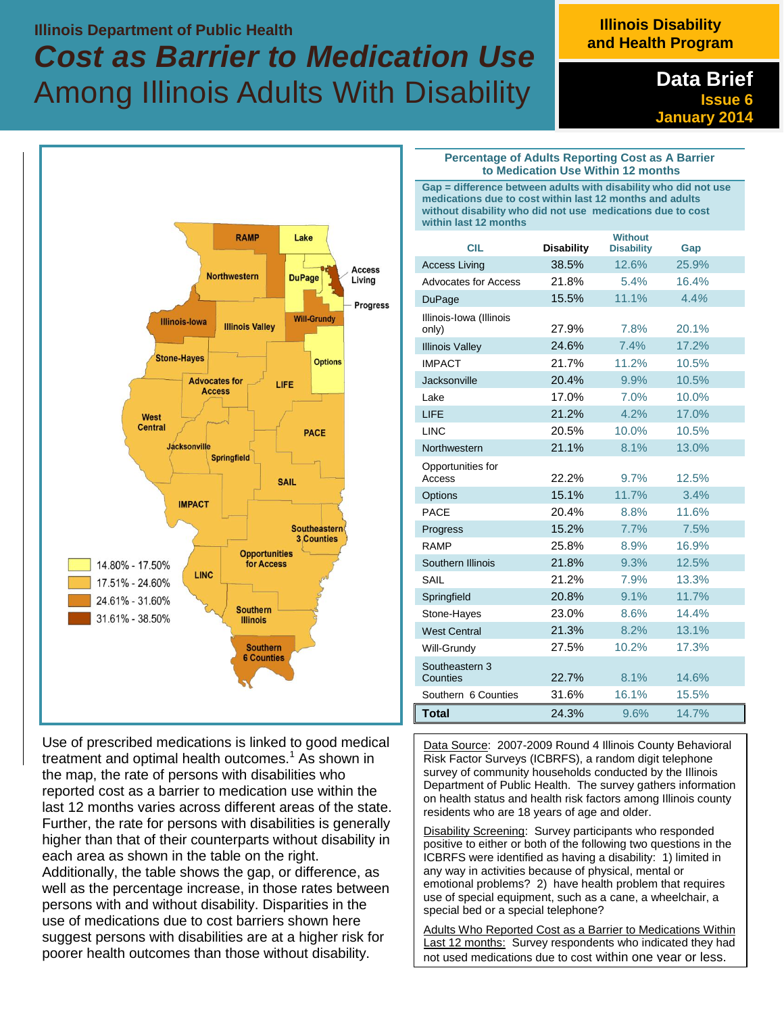## **Illinois Department of Public Health**  *Cost as Barrier to Medication Use*  Among Illinois Adults With Disability

## **Illinois Disability and Health Program**

**Data Brief Issue 6 January 2014**



Use of prescribed medications is linked to good medical treatment and optimal health outcomes.<sup>1</sup> As shown in the map, the rate of persons with disabilities who reported cost as a barrier to medication use within the last 12 months varies across different areas of the state. Further, the rate for persons with disabilities is generally higher than that of their counterparts without disability in each area as shown in the table on the right. Additionally, the table shows the gap, or difference, as well as the percentage increase, in those rates between persons with and without disability. Disparities in the use of medications due to cost barriers shown here suggest persons with disabilities are at a higher risk for poorer health outcomes than those without disability.

**Percentage of Adults Reporting Cost as A Barrier to Medication Use Within 12 months**

**Gap = difference between adults with disability who did not use medications due to cost within last 12 months and adults without disability who did not use medications due to cost within last 12 months**

| <b>CIL</b>                       | <b>Disability</b> | <b>Without</b><br><b>Disability</b> | Gap   |
|----------------------------------|-------------------|-------------------------------------|-------|
| <b>Access Living</b>             | 38.5%             | 12.6%                               | 25.9% |
| Advocates for Access             | 21.8%             | 5.4%                                | 16.4% |
| DuPage                           | 15.5%             | 11.1%                               | 4.4%  |
| Illinois-Iowa (Illinois<br>only) | 27.9%             | 7.8%                                | 20.1% |
| <b>Illinois Valley</b>           | 24.6%             | 7.4%                                | 17.2% |
| <b>IMPACT</b>                    | 21.7%             | 11.2%                               | 10.5% |
| Jacksonville                     | 20.4%             | 9.9%                                | 10.5% |
| Lake                             | 17.0%             | 7.0%                                | 10.0% |
| LIFE                             | 21.2%             | 4.2%                                | 17.0% |
| <b>LINC</b>                      | 20.5%             | 10.0%                               | 10.5% |
| Northwestern                     | 21.1%             | 8.1%                                | 13.0% |
| Opportunities for<br>Access      | 22.2%             | 9.7%                                | 12.5% |
| Options                          | 15.1%             | 11.7%                               | 3.4%  |
| <b>PACF</b>                      | 20.4%             | 8.8%                                | 11.6% |
| Progress                         | 15.2%             | 7.7%                                | 7.5%  |
| <b>RAMP</b>                      | 25.8%             | 8.9%                                | 16.9% |
| Southern Illinois                | 21.8%             | 9.3%                                | 12.5% |
| SAIL                             | 21.2%             | 7.9%                                | 13.3% |
| Springfield                      | 20.8%             | 9.1%                                | 11.7% |
| Stone-Hayes                      | 23.0%             | 8.6%                                | 14.4% |
| <b>West Central</b>              | 21.3%             | 8.2%                                | 13.1% |
| Will-Grundy                      | 27.5%             | 10.2%                               | 17.3% |
| Southeastern 3<br>Counties       | 22.7%             | 8.1%                                | 14.6% |
| Southern 6 Counties              | 31.6%             | 16.1%                               | 15.5% |
| <b>Total</b>                     | 24.3%             | 9.6%                                | 14.7% |

Data Source: 2007-2009 Round 4 Illinois County Behavioral Risk Factor Surveys (ICBRFS), a random digit telephone survey of community households conducted by the Illinois Department of Public Health. The survey gathers information on health status and health risk factors among Illinois county residents who are 18 years of age and older.

Disability Screening: Survey participants who responded positive to either or both of the following two questions in the ICBRFS were identified as having a disability: 1) limited in any way in activities because of physical, mental or emotional problems? 2) have health problem that requires use of special equipment, such as a cane, a wheelchair, a special bed or a special telephone?

Adults Who Reported Cost as a Barrier to Medications Within Last 12 months: Survey respondents who indicated they had not used medications due to cost within one year or less.